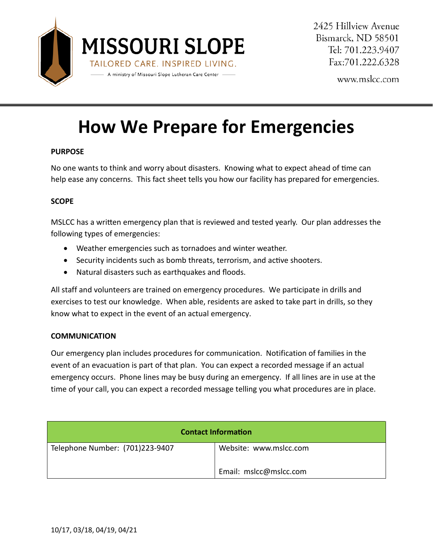

2425 Hillview Avenue Bismarck, ND 58501 Tel: 701.223.9407 Fax:701.222.6328

www.mslcc.com

# **How We Prepare for Emergencies**

# **PURPOSE**

No one wants to think and worry about disasters. Knowing what to expect ahead of time can help ease any concerns. This fact sheet tells you how our facility has prepared for emergencies.

## **SCOPE**

MSLCC has a writen emergency plan that is reviewed and tested yearly. Our plan addresses the following types of emergencies:

- Weather emergencies such as tornadoes and winter weather.
- Security incidents such as bomb threats, terrorism, and active shooters.
- Natural disasters such as earthquakes and floods.

All staff and volunteers are trained on emergency procedures. We participate in drills and exercises to test our knowledge. When able, residents are asked to take part in drills, so they know what to expect in the event of an actual emergency.

#### **COMMUNICATION**

Our emergency plan includes procedures for communication. Notification of families in the event of an evacuation is part of that plan. You can expect a recorded message if an actual emergency occurs. Phone lines may be busy during an emergency. If all lines are in use at the time of your call, you can expect a recorded message telling you what procedures are in place.

| <b>Contact Information</b>      |                        |
|---------------------------------|------------------------|
| Telephone Number: (701)223-9407 | Website: www.mslcc.com |
|                                 | Email: mslcc@mslcc.com |